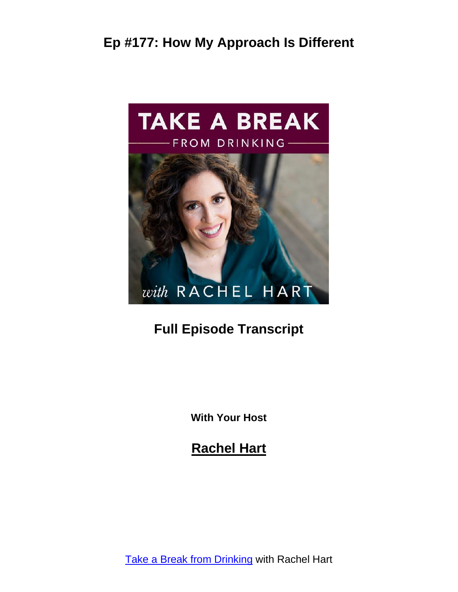

#### **Full Episode Transcript**

**With Your Host**

**Rachel Hart**

Take a Break from [Drinking](https://www.rachelhart.com/podcast/) with Rachel Hart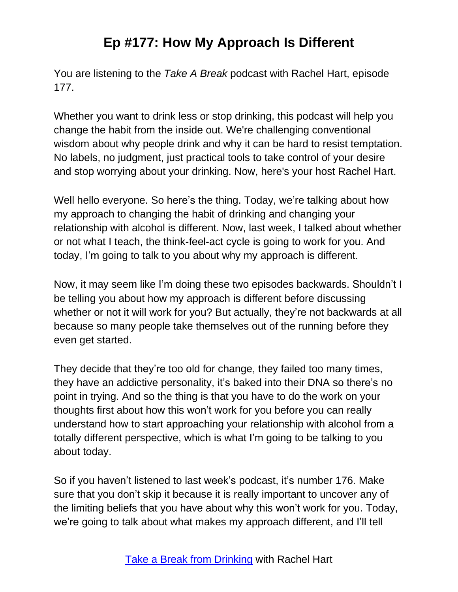You are listening to the *Take A Break* podcast with Rachel Hart, episode 177.

Whether you want to drink less or stop drinking, this podcast will help you change the habit from the inside out. We're challenging conventional wisdom about why people drink and why it can be hard to resist temptation. No labels, no judgment, just practical tools to take control of your desire and stop worrying about your drinking. Now, here's your host Rachel Hart.

Well hello everyone. So here's the thing. Today, we're talking about how my approach to changing the habit of drinking and changing your relationship with alcohol is different. Now, last week, I talked about whether or not what I teach, the think-feel-act cycle is going to work for you. And today, I'm going to talk to you about why my approach is different.

Now, it may seem like I'm doing these two episodes backwards. Shouldn't I be telling you about how my approach is different before discussing whether or not it will work for you? But actually, they're not backwards at all because so many people take themselves out of the running before they even get started.

They decide that they're too old for change, they failed too many times, they have an addictive personality, it's baked into their DNA so there's no point in trying. And so the thing is that you have to do the work on your thoughts first about how this won't work for you before you can really understand how to start approaching your relationship with alcohol from a totally different perspective, which is what I'm going to be talking to you about today.

So if you haven't listened to last week's podcast, it's number 176. Make sure that you don't skip it because it is really important to uncover any of the limiting beliefs that you have about why this won't work for you. Today, we're going to talk about what makes my approach different, and I'll tell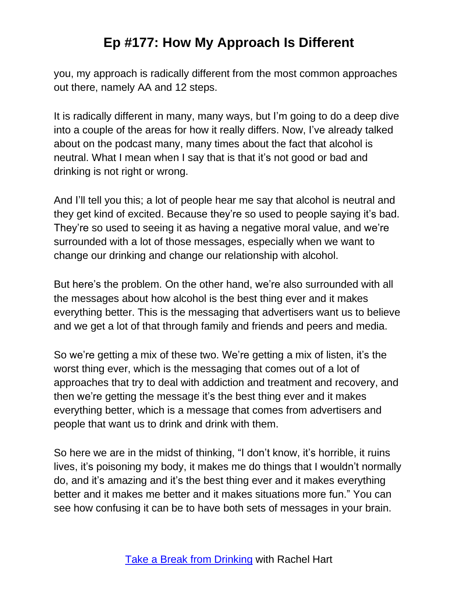you, my approach is radically different from the most common approaches out there, namely AA and 12 steps.

It is radically different in many, many ways, but I'm going to do a deep dive into a couple of the areas for how it really differs. Now, I've already talked about on the podcast many, many times about the fact that alcohol is neutral. What I mean when I say that is that it's not good or bad and drinking is not right or wrong.

And I'll tell you this; a lot of people hear me say that alcohol is neutral and they get kind of excited. Because they're so used to people saying it's bad. They're so used to seeing it as having a negative moral value, and we're surrounded with a lot of those messages, especially when we want to change our drinking and change our relationship with alcohol.

But here's the problem. On the other hand, we're also surrounded with all the messages about how alcohol is the best thing ever and it makes everything better. This is the messaging that advertisers want us to believe and we get a lot of that through family and friends and peers and media.

So we're getting a mix of these two. We're getting a mix of listen, it's the worst thing ever, which is the messaging that comes out of a lot of approaches that try to deal with addiction and treatment and recovery, and then we're getting the message it's the best thing ever and it makes everything better, which is a message that comes from advertisers and people that want us to drink and drink with them.

So here we are in the midst of thinking, "I don't know, it's horrible, it ruins lives, it's poisoning my body, it makes me do things that I wouldn't normally do, and it's amazing and it's the best thing ever and it makes everything better and it makes me better and it makes situations more fun." You can see how confusing it can be to have both sets of messages in your brain.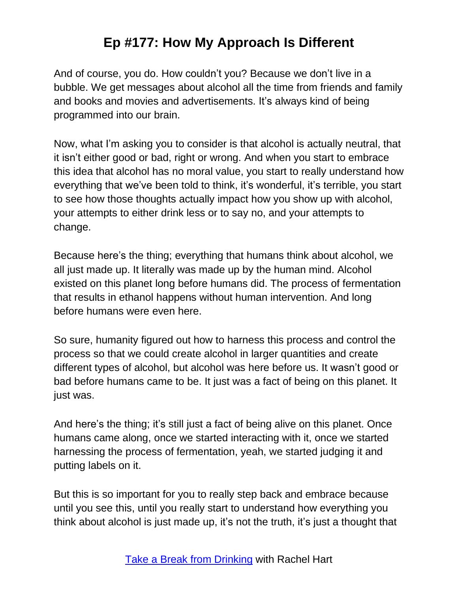And of course, you do. How couldn't you? Because we don't live in a bubble. We get messages about alcohol all the time from friends and family and books and movies and advertisements. It's always kind of being programmed into our brain.

Now, what I'm asking you to consider is that alcohol is actually neutral, that it isn't either good or bad, right or wrong. And when you start to embrace this idea that alcohol has no moral value, you start to really understand how everything that we've been told to think, it's wonderful, it's terrible, you start to see how those thoughts actually impact how you show up with alcohol, your attempts to either drink less or to say no, and your attempts to change.

Because here's the thing; everything that humans think about alcohol, we all just made up. It literally was made up by the human mind. Alcohol existed on this planet long before humans did. The process of fermentation that results in ethanol happens without human intervention. And long before humans were even here.

So sure, humanity figured out how to harness this process and control the process so that we could create alcohol in larger quantities and create different types of alcohol, but alcohol was here before us. It wasn't good or bad before humans came to be. It just was a fact of being on this planet. It just was.

And here's the thing; it's still just a fact of being alive on this planet. Once humans came along, once we started interacting with it, once we started harnessing the process of fermentation, yeah, we started judging it and putting labels on it.

But this is so important for you to really step back and embrace because until you see this, until you really start to understand how everything you think about alcohol is just made up, it's not the truth, it's just a thought that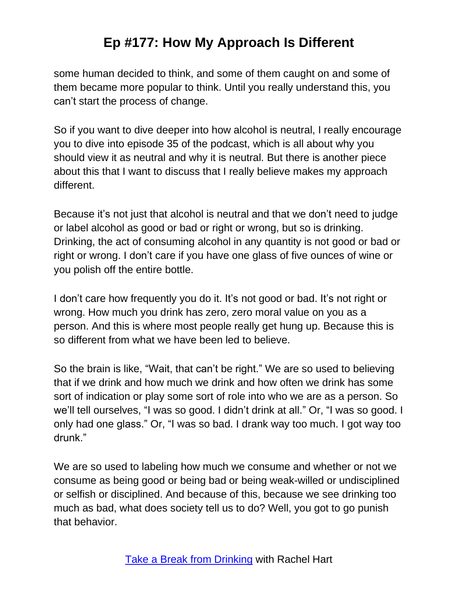some human decided to think, and some of them caught on and some of them became more popular to think. Until you really understand this, you can't start the process of change.

So if you want to dive deeper into how alcohol is neutral, I really encourage you to dive into episode 35 of the podcast, which is all about why you should view it as neutral and why it is neutral. But there is another piece about this that I want to discuss that I really believe makes my approach different.

Because it's not just that alcohol is neutral and that we don't need to judge or label alcohol as good or bad or right or wrong, but so is drinking. Drinking, the act of consuming alcohol in any quantity is not good or bad or right or wrong. I don't care if you have one glass of five ounces of wine or you polish off the entire bottle.

I don't care how frequently you do it. It's not good or bad. It's not right or wrong. How much you drink has zero, zero moral value on you as a person. And this is where most people really get hung up. Because this is so different from what we have been led to believe.

So the brain is like, "Wait, that can't be right." We are so used to believing that if we drink and how much we drink and how often we drink has some sort of indication or play some sort of role into who we are as a person. So we'll tell ourselves, "I was so good. I didn't drink at all." Or, "I was so good. I only had one glass." Or, "I was so bad. I drank way too much. I got way too drunk."

We are so used to labeling how much we consume and whether or not we consume as being good or being bad or being weak-willed or undisciplined or selfish or disciplined. And because of this, because we see drinking too much as bad, what does society tell us to do? Well, you got to go punish that behavior.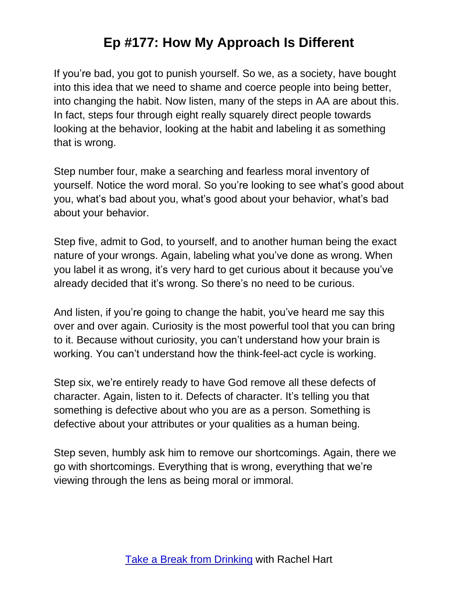If you're bad, you got to punish yourself. So we, as a society, have bought into this idea that we need to shame and coerce people into being better, into changing the habit. Now listen, many of the steps in AA are about this. In fact, steps four through eight really squarely direct people towards looking at the behavior, looking at the habit and labeling it as something that is wrong.

Step number four, make a searching and fearless moral inventory of yourself. Notice the word moral. So you're looking to see what's good about you, what's bad about you, what's good about your behavior, what's bad about your behavior.

Step five, admit to God, to yourself, and to another human being the exact nature of your wrongs. Again, labeling what you've done as wrong. When you label it as wrong, it's very hard to get curious about it because you've already decided that it's wrong. So there's no need to be curious.

And listen, if you're going to change the habit, you've heard me say this over and over again. Curiosity is the most powerful tool that you can bring to it. Because without curiosity, you can't understand how your brain is working. You can't understand how the think-feel-act cycle is working.

Step six, we're entirely ready to have God remove all these defects of character. Again, listen to it. Defects of character. It's telling you that something is defective about who you are as a person. Something is defective about your attributes or your qualities as a human being.

Step seven, humbly ask him to remove our shortcomings. Again, there we go with shortcomings. Everything that is wrong, everything that we're viewing through the lens as being moral or immoral.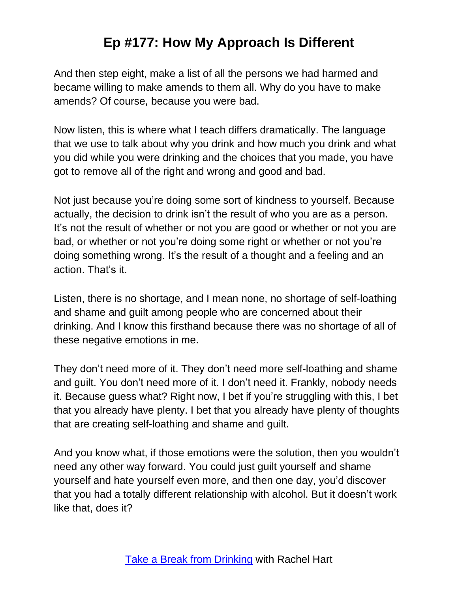And then step eight, make a list of all the persons we had harmed and became willing to make amends to them all. Why do you have to make amends? Of course, because you were bad.

Now listen, this is where what I teach differs dramatically. The language that we use to talk about why you drink and how much you drink and what you did while you were drinking and the choices that you made, you have got to remove all of the right and wrong and good and bad.

Not just because you're doing some sort of kindness to yourself. Because actually, the decision to drink isn't the result of who you are as a person. It's not the result of whether or not you are good or whether or not you are bad, or whether or not you're doing some right or whether or not you're doing something wrong. It's the result of a thought and a feeling and an action. That's it.

Listen, there is no shortage, and I mean none, no shortage of self-loathing and shame and guilt among people who are concerned about their drinking. And I know this firsthand because there was no shortage of all of these negative emotions in me.

They don't need more of it. They don't need more self-loathing and shame and guilt. You don't need more of it. I don't need it. Frankly, nobody needs it. Because guess what? Right now, I bet if you're struggling with this, I bet that you already have plenty. I bet that you already have plenty of thoughts that are creating self-loathing and shame and guilt.

And you know what, if those emotions were the solution, then you wouldn't need any other way forward. You could just guilt yourself and shame yourself and hate yourself even more, and then one day, you'd discover that you had a totally different relationship with alcohol. But it doesn't work like that, does it?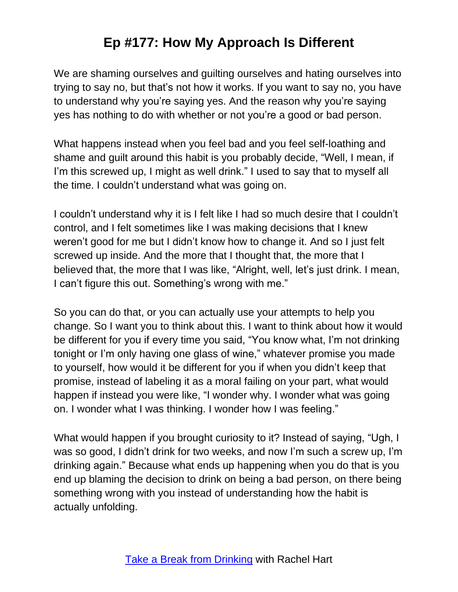We are shaming ourselves and guilting ourselves and hating ourselves into trying to say no, but that's not how it works. If you want to say no, you have to understand why you're saying yes. And the reason why you're saying yes has nothing to do with whether or not you're a good or bad person.

What happens instead when you feel bad and you feel self-loathing and shame and guilt around this habit is you probably decide, "Well, I mean, if I'm this screwed up, I might as well drink." I used to say that to myself all the time. I couldn't understand what was going on.

I couldn't understand why it is I felt like I had so much desire that I couldn't control, and I felt sometimes like I was making decisions that I knew weren't good for me but I didn't know how to change it. And so I just felt screwed up inside. And the more that I thought that, the more that I believed that, the more that I was like, "Alright, well, let's just drink. I mean, I can't figure this out. Something's wrong with me."

So you can do that, or you can actually use your attempts to help you change. So I want you to think about this. I want to think about how it would be different for you if every time you said, "You know what, I'm not drinking tonight or I'm only having one glass of wine," whatever promise you made to yourself, how would it be different for you if when you didn't keep that promise, instead of labeling it as a moral failing on your part, what would happen if instead you were like, "I wonder why. I wonder what was going on. I wonder what I was thinking. I wonder how I was feeling."

What would happen if you brought curiosity to it? Instead of saying, "Ugh, I was so good, I didn't drink for two weeks, and now I'm such a screw up, I'm drinking again." Because what ends up happening when you do that is you end up blaming the decision to drink on being a bad person, on there being something wrong with you instead of understanding how the habit is actually unfolding.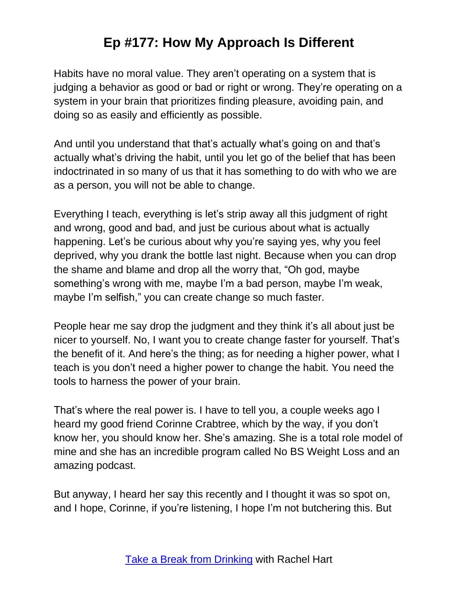Habits have no moral value. They aren't operating on a system that is judging a behavior as good or bad or right or wrong. They're operating on a system in your brain that prioritizes finding pleasure, avoiding pain, and doing so as easily and efficiently as possible.

And until you understand that that's actually what's going on and that's actually what's driving the habit, until you let go of the belief that has been indoctrinated in so many of us that it has something to do with who we are as a person, you will not be able to change.

Everything I teach, everything is let's strip away all this judgment of right and wrong, good and bad, and just be curious about what is actually happening. Let's be curious about why you're saying yes, why you feel deprived, why you drank the bottle last night. Because when you can drop the shame and blame and drop all the worry that, "Oh god, maybe something's wrong with me, maybe I'm a bad person, maybe I'm weak, maybe I'm selfish," you can create change so much faster.

People hear me say drop the judgment and they think it's all about just be nicer to yourself. No, I want you to create change faster for yourself. That's the benefit of it. And here's the thing; as for needing a higher power, what I teach is you don't need a higher power to change the habit. You need the tools to harness the power of your brain.

That's where the real power is. I have to tell you, a couple weeks ago I heard my good friend Corinne Crabtree, which by the way, if you don't know her, you should know her. She's amazing. She is a total role model of mine and she has an incredible program called No BS Weight Loss and an amazing podcast.

But anyway, I heard her say this recently and I thought it was so spot on, and I hope, Corinne, if you're listening, I hope I'm not butchering this. But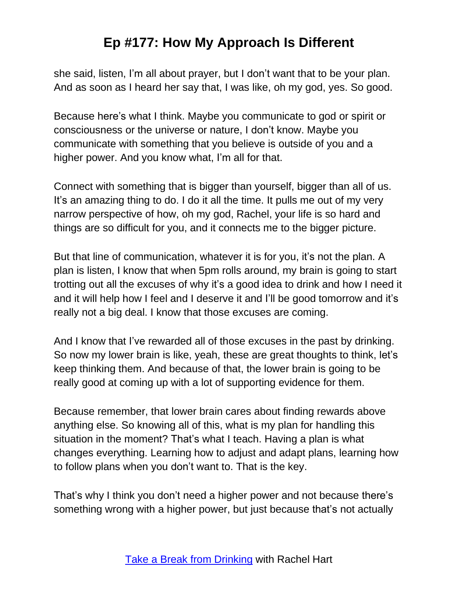she said, listen, I'm all about prayer, but I don't want that to be your plan. And as soon as I heard her say that, I was like, oh my god, yes. So good.

Because here's what I think. Maybe you communicate to god or spirit or consciousness or the universe or nature, I don't know. Maybe you communicate with something that you believe is outside of you and a higher power. And you know what, I'm all for that.

Connect with something that is bigger than yourself, bigger than all of us. It's an amazing thing to do. I do it all the time. It pulls me out of my very narrow perspective of how, oh my god, Rachel, your life is so hard and things are so difficult for you, and it connects me to the bigger picture.

But that line of communication, whatever it is for you, it's not the plan. A plan is listen, I know that when 5pm rolls around, my brain is going to start trotting out all the excuses of why it's a good idea to drink and how I need it and it will help how I feel and I deserve it and I'll be good tomorrow and it's really not a big deal. I know that those excuses are coming.

And I know that I've rewarded all of those excuses in the past by drinking. So now my lower brain is like, yeah, these are great thoughts to think, let's keep thinking them. And because of that, the lower brain is going to be really good at coming up with a lot of supporting evidence for them.

Because remember, that lower brain cares about finding rewards above anything else. So knowing all of this, what is my plan for handling this situation in the moment? That's what I teach. Having a plan is what changes everything. Learning how to adjust and adapt plans, learning how to follow plans when you don't want to. That is the key.

That's why I think you don't need a higher power and not because there's something wrong with a higher power, but just because that's not actually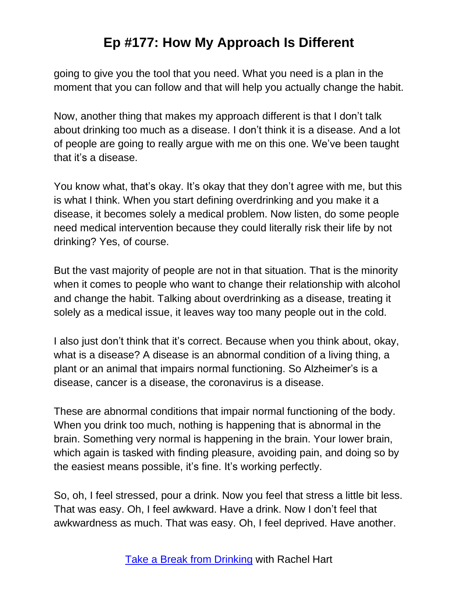going to give you the tool that you need. What you need is a plan in the moment that you can follow and that will help you actually change the habit.

Now, another thing that makes my approach different is that I don't talk about drinking too much as a disease. I don't think it is a disease. And a lot of people are going to really argue with me on this one. We've been taught that it's a disease.

You know what, that's okay. It's okay that they don't agree with me, but this is what I think. When you start defining overdrinking and you make it a disease, it becomes solely a medical problem. Now listen, do some people need medical intervention because they could literally risk their life by not drinking? Yes, of course.

But the vast majority of people are not in that situation. That is the minority when it comes to people who want to change their relationship with alcohol and change the habit. Talking about overdrinking as a disease, treating it solely as a medical issue, it leaves way too many people out in the cold.

I also just don't think that it's correct. Because when you think about, okay, what is a disease? A disease is an abnormal condition of a living thing, a plant or an animal that impairs normal functioning. So Alzheimer's is a disease, cancer is a disease, the coronavirus is a disease.

These are abnormal conditions that impair normal functioning of the body. When you drink too much, nothing is happening that is abnormal in the brain. Something very normal is happening in the brain. Your lower brain, which again is tasked with finding pleasure, avoiding pain, and doing so by the easiest means possible, it's fine. It's working perfectly.

So, oh, I feel stressed, pour a drink. Now you feel that stress a little bit less. That was easy. Oh, I feel awkward. Have a drink. Now I don't feel that awkwardness as much. That was easy. Oh, I feel deprived. Have another.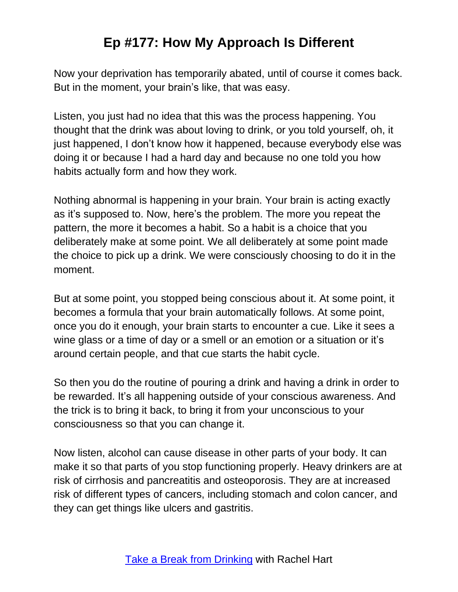Now your deprivation has temporarily abated, until of course it comes back. But in the moment, your brain's like, that was easy.

Listen, you just had no idea that this was the process happening. You thought that the drink was about loving to drink, or you told yourself, oh, it just happened, I don't know how it happened, because everybody else was doing it or because I had a hard day and because no one told you how habits actually form and how they work.

Nothing abnormal is happening in your brain. Your brain is acting exactly as it's supposed to. Now, here's the problem. The more you repeat the pattern, the more it becomes a habit. So a habit is a choice that you deliberately make at some point. We all deliberately at some point made the choice to pick up a drink. We were consciously choosing to do it in the moment.

But at some point, you stopped being conscious about it. At some point, it becomes a formula that your brain automatically follows. At some point, once you do it enough, your brain starts to encounter a cue. Like it sees a wine glass or a time of day or a smell or an emotion or a situation or it's around certain people, and that cue starts the habit cycle.

So then you do the routine of pouring a drink and having a drink in order to be rewarded. It's all happening outside of your conscious awareness. And the trick is to bring it back, to bring it from your unconscious to your consciousness so that you can change it.

Now listen, alcohol can cause disease in other parts of your body. It can make it so that parts of you stop functioning properly. Heavy drinkers are at risk of cirrhosis and pancreatitis and osteoporosis. They are at increased risk of different types of cancers, including stomach and colon cancer, and they can get things like ulcers and gastritis.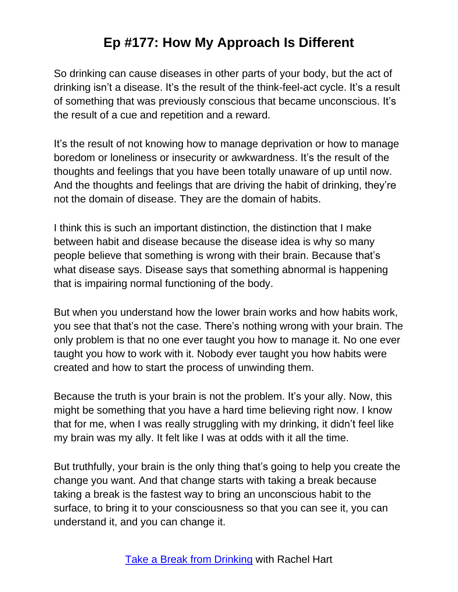So drinking can cause diseases in other parts of your body, but the act of drinking isn't a disease. It's the result of the think-feel-act cycle. It's a result of something that was previously conscious that became unconscious. It's the result of a cue and repetition and a reward.

It's the result of not knowing how to manage deprivation or how to manage boredom or loneliness or insecurity or awkwardness. It's the result of the thoughts and feelings that you have been totally unaware of up until now. And the thoughts and feelings that are driving the habit of drinking, they're not the domain of disease. They are the domain of habits.

I think this is such an important distinction, the distinction that I make between habit and disease because the disease idea is why so many people believe that something is wrong with their brain. Because that's what disease says. Disease says that something abnormal is happening that is impairing normal functioning of the body.

But when you understand how the lower brain works and how habits work, you see that that's not the case. There's nothing wrong with your brain. The only problem is that no one ever taught you how to manage it. No one ever taught you how to work with it. Nobody ever taught you how habits were created and how to start the process of unwinding them.

Because the truth is your brain is not the problem. It's your ally. Now, this might be something that you have a hard time believing right now. I know that for me, when I was really struggling with my drinking, it didn't feel like my brain was my ally. It felt like I was at odds with it all the time.

But truthfully, your brain is the only thing that's going to help you create the change you want. And that change starts with taking a break because taking a break is the fastest way to bring an unconscious habit to the surface, to bring it to your consciousness so that you can see it, you can understand it, and you can change it.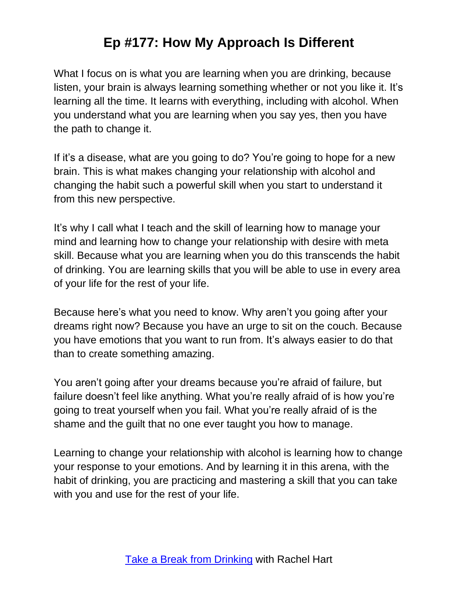What I focus on is what you are learning when you are drinking, because listen, your brain is always learning something whether or not you like it. It's learning all the time. It learns with everything, including with alcohol. When you understand what you are learning when you say yes, then you have the path to change it.

If it's a disease, what are you going to do? You're going to hope for a new brain. This is what makes changing your relationship with alcohol and changing the habit such a powerful skill when you start to understand it from this new perspective.

It's why I call what I teach and the skill of learning how to manage your mind and learning how to change your relationship with desire with meta skill. Because what you are learning when you do this transcends the habit of drinking. You are learning skills that you will be able to use in every area of your life for the rest of your life.

Because here's what you need to know. Why aren't you going after your dreams right now? Because you have an urge to sit on the couch. Because you have emotions that you want to run from. It's always easier to do that than to create something amazing.

You aren't going after your dreams because you're afraid of failure, but failure doesn't feel like anything. What you're really afraid of is how you're going to treat yourself when you fail. What you're really afraid of is the shame and the guilt that no one ever taught you how to manage.

Learning to change your relationship with alcohol is learning how to change your response to your emotions. And by learning it in this arena, with the habit of drinking, you are practicing and mastering a skill that you can take with you and use for the rest of your life.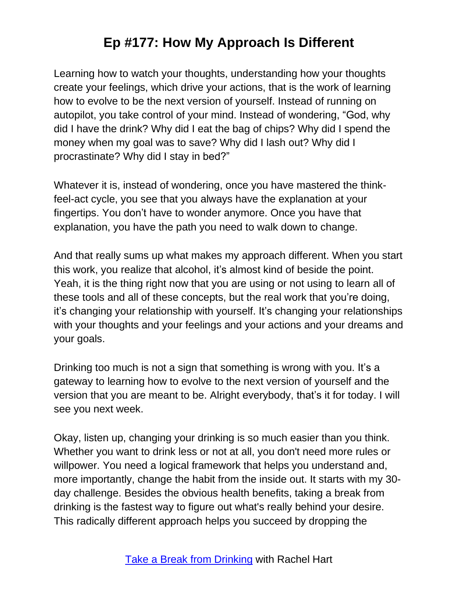Learning how to watch your thoughts, understanding how your thoughts create your feelings, which drive your actions, that is the work of learning how to evolve to be the next version of yourself. Instead of running on autopilot, you take control of your mind. Instead of wondering, "God, why did I have the drink? Why did I eat the bag of chips? Why did I spend the money when my goal was to save? Why did I lash out? Why did I procrastinate? Why did I stay in bed?"

Whatever it is, instead of wondering, once you have mastered the thinkfeel-act cycle, you see that you always have the explanation at your fingertips. You don't have to wonder anymore. Once you have that explanation, you have the path you need to walk down to change.

And that really sums up what makes my approach different. When you start this work, you realize that alcohol, it's almost kind of beside the point. Yeah, it is the thing right now that you are using or not using to learn all of these tools and all of these concepts, but the real work that you're doing, it's changing your relationship with yourself. It's changing your relationships with your thoughts and your feelings and your actions and your dreams and your goals.

Drinking too much is not a sign that something is wrong with you. It's a gateway to learning how to evolve to the next version of yourself and the version that you are meant to be. Alright everybody, that's it for today. I will see you next week.

Okay, listen up, changing your drinking is so much easier than you think. Whether you want to drink less or not at all, you don't need more rules or willpower. You need a logical framework that helps you understand and, more importantly, change the habit from the inside out. It starts with my 30 day challenge. Besides the obvious health benefits, taking a break from drinking is the fastest way to figure out what's really behind your desire. This radically different approach helps you succeed by dropping the